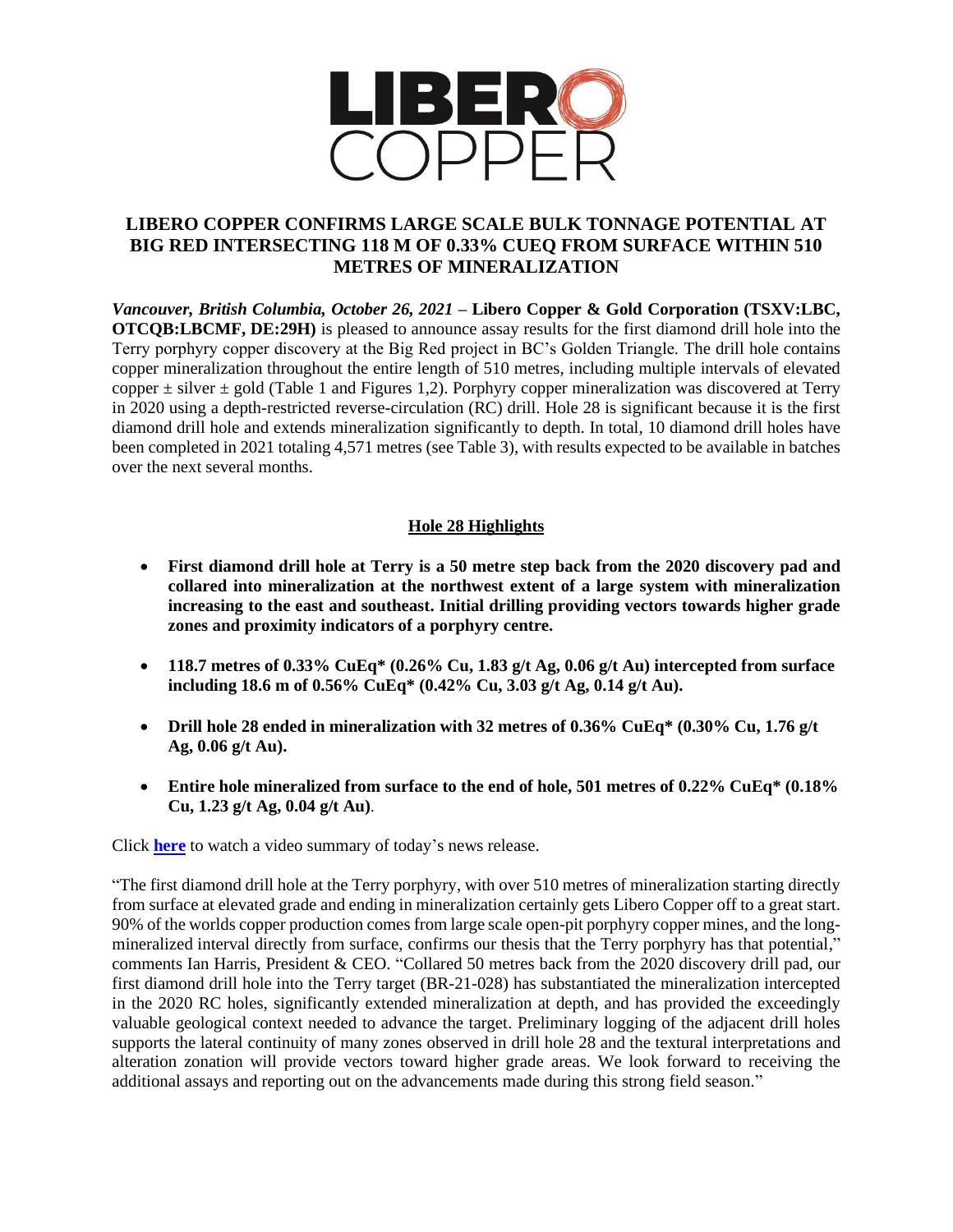

# **LIBERO COPPER CONFIRMS LARGE SCALE BULK TONNAGE POTENTIAL AT BIG RED INTERSECTING 118 M OF 0.33% CUEQ FROM SURFACE WITHIN 510 METRES OF MINERALIZATION**

*Vancouver, British Columbia, October 26, 2021* **– Libero Copper & Gold Corporation (TSXV:LBC, OTCQB:LBCMF, DE:29H)** is pleased to announce assay results for the first diamond drill hole into the Terry porphyry copper discovery at the Big Red project in BC's Golden Triangle. The drill hole contains copper mineralization throughout the entire length of 510 metres, including multiple intervals of elevated copper  $\pm$  silver  $\pm$  gold (Table 1 and Figures 1,2). Porphyry copper mineralization was discovered at Terry in 2020 using a depth-restricted reverse-circulation (RC) drill. Hole 28 is significant because it is the first diamond drill hole and extends mineralization significantly to depth. In total, 10 diamond drill holes have been completed in 2021 totaling 4,571 metres (see Table 3), with results expected to be available in batches over the next several months.

## **Hole 28 Highlights**

- **First diamond drill hole at Terry is a 50 metre step back from the 2020 discovery pad and collared into mineralization at the northwest extent of a large system with mineralization increasing to the east and southeast. Initial drilling providing vectors towards higher grade zones and proximity indicators of a porphyry centre.**
- **118.7 metres of 0.33% CuEq\* (0.26% Cu, 1.83 g/t Ag, 0.06 g/t Au) intercepted from surface including 18.6 m of 0.56% CuEq\* (0.42% Cu, 3.03 g/t Ag, 0.14 g/t Au).**
- **Drill hole 28 ended in mineralization with 32 metres of 0.36% CuEq\* (0.30% Cu, 1.76 g/t Ag, 0.06 g/t Au).**
- **Entire hole mineralized from surface to the end of hole, 501 metres of 0.22% CuEq\* (0.18% Cu, 1.23 g/t Ag, 0.04 g/t Au)**.

Click **[here](https://youtu.be/iQ7y0999-zg)** to watch a video summary of today's news release.

"The first diamond drill hole at the Terry porphyry, with over 510 metres of mineralization starting directly from surface at elevated grade and ending in mineralization certainly gets Libero Copper off to a great start. 90% of the worlds copper production comes from large scale open-pit porphyry copper mines, and the longmineralized interval directly from surface, confirms our thesis that the Terry porphyry has that potential," comments Ian Harris, President & CEO. "Collared 50 metres back from the 2020 discovery drill pad, our first diamond drill hole into the Terry target (BR-21-028) has substantiated the mineralization intercepted in the 2020 RC holes, significantly extended mineralization at depth, and has provided the exceedingly valuable geological context needed to advance the target. Preliminary logging of the adjacent drill holes supports the lateral continuity of many zones observed in drill hole 28 and the textural interpretations and alteration zonation will provide vectors toward higher grade areas. We look forward to receiving the additional assays and reporting out on the advancements made during this strong field season."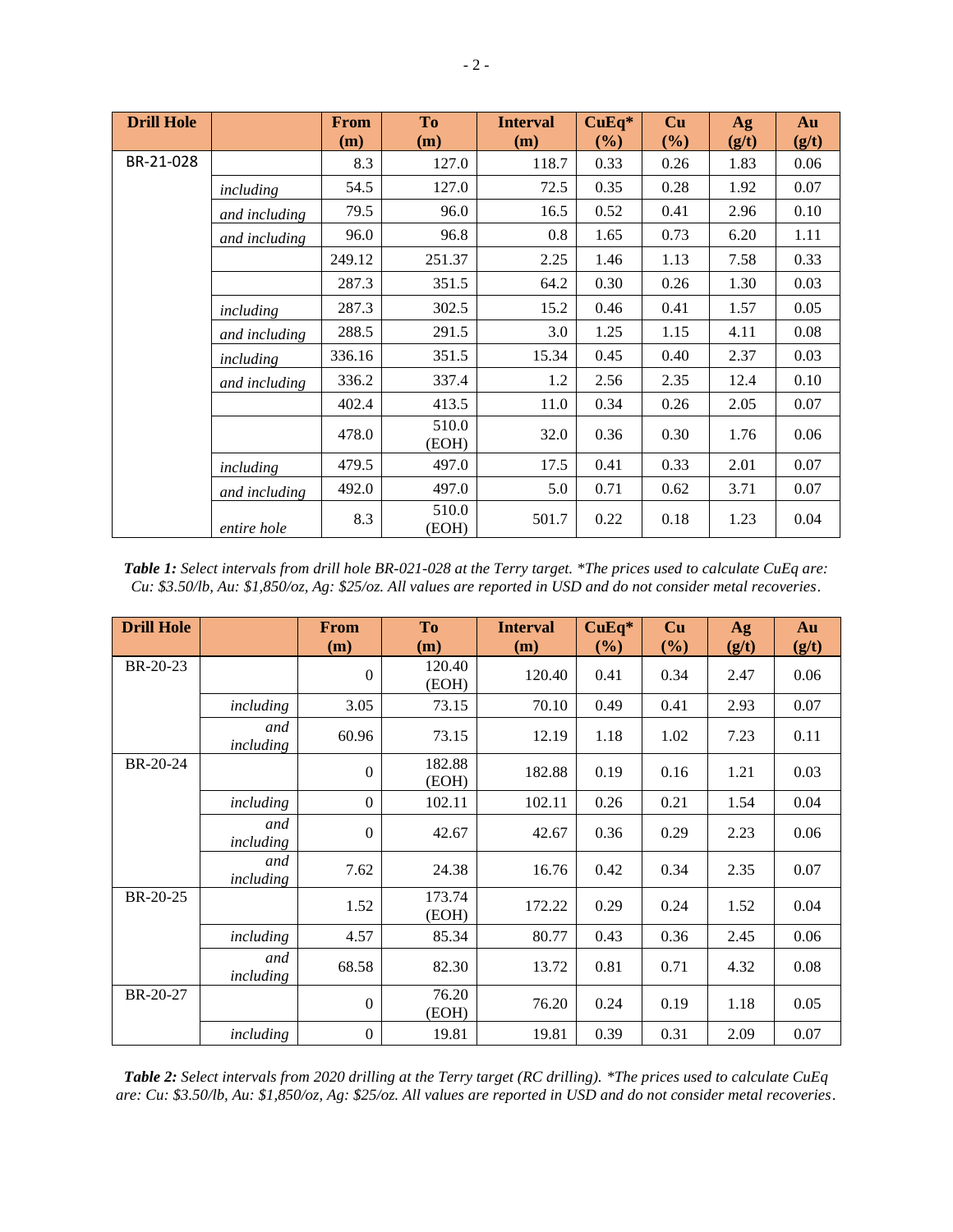| <b>Drill Hole</b> |               | <b>From</b> | To             | <b>Interval</b> | $CuEq*$ | Cu   | Ag    | Au    |
|-------------------|---------------|-------------|----------------|-----------------|---------|------|-------|-------|
|                   |               | (m)         | (m)            | (m)             | $(\%)$  | (%)  | (g/t) | (g/t) |
| BR-21-028         |               | 8.3         | 127.0          | 118.7           | 0.33    | 0.26 | 1.83  | 0.06  |
|                   | including     | 54.5        | 127.0          | 72.5            | 0.35    | 0.28 | 1.92  | 0.07  |
|                   | and including | 79.5        | 96.0           | 16.5            | 0.52    | 0.41 | 2.96  | 0.10  |
|                   | and including | 96.0        | 96.8           | 0.8             | 1.65    | 0.73 | 6.20  | 1.11  |
|                   |               | 249.12      | 251.37         | 2.25            | 1.46    | 1.13 | 7.58  | 0.33  |
|                   |               | 287.3       | 351.5          | 64.2            | 0.30    | 0.26 | 1.30  | 0.03  |
|                   | including     | 287.3       | 302.5          | 15.2            | 0.46    | 0.41 | 1.57  | 0.05  |
|                   | and including | 288.5       | 291.5          | 3.0             | 1.25    | 1.15 | 4.11  | 0.08  |
|                   | including     | 336.16      | 351.5          | 15.34           | 0.45    | 0.40 | 2.37  | 0.03  |
|                   | and including | 336.2       | 337.4          | 1.2             | 2.56    | 2.35 | 12.4  | 0.10  |
|                   |               | 402.4       | 413.5          | 11.0            | 0.34    | 0.26 | 2.05  | 0.07  |
|                   |               | 478.0       | 510.0<br>(EOH) | 32.0            | 0.36    | 0.30 | 1.76  | 0.06  |
|                   | including     | 479.5       | 497.0          | 17.5            | 0.41    | 0.33 | 2.01  | 0.07  |
|                   | and including | 492.0       | 497.0          | 5.0             | 0.71    | 0.62 | 3.71  | 0.07  |
|                   | entire hole   | 8.3         | 510.0<br>(EOH) | 501.7           | 0.22    | 0.18 | 1.23  | 0.04  |

*Table 1: Select intervals from drill hole BR-021-028 at the Terry target. \*The prices used to calculate CuEq are: Cu: \$3.50/lb, Au: \$1,850/oz, Ag: \$25/oz. All values are reported in USD and do not consider metal recoveries*.

| <b>Drill Hole</b> |                  | From<br>(m)  | <b>To</b><br>(m) | <b>Interval</b><br>(m) | $CuEq*$<br>(%) | Cu<br>$(\%)$ | Ag<br>(g/t) | Au<br>(g/t) |
|-------------------|------------------|--------------|------------------|------------------------|----------------|--------------|-------------|-------------|
| BR-20-23          |                  | $\theta$     | 120.40<br>(EOH)  | 120.40                 | 0.41           | 0.34         | 2.47        | 0.06        |
|                   | including        | 3.05         | 73.15            | 70.10                  | 0.49           | 0.41         | 2.93        | 0.07        |
|                   | and<br>including | 60.96        | 73.15            | 12.19                  | 1.18           | 1.02         | 7.23        | 0.11        |
| BR-20-24          |                  | $\theta$     | 182.88<br>(EOH)  | 182.88                 | 0.19           | 0.16         | 1.21        | 0.03        |
|                   | including        | $\mathbf{0}$ | 102.11           | 102.11                 | 0.26           | 0.21         | 1.54        | 0.04        |
|                   | and<br>including | $\theta$     | 42.67            | 42.67                  | 0.36           | 0.29         | 2.23        | 0.06        |
|                   | and<br>including | 7.62         | 24.38            | 16.76                  | 0.42           | 0.34         | 2.35        | 0.07        |
| BR-20-25          |                  | 1.52         | 173.74<br>(EOH)  | 172.22                 | 0.29           | 0.24         | 1.52        | 0.04        |
|                   | including        | 4.57         | 85.34            | 80.77                  | 0.43           | 0.36         | 2.45        | 0.06        |
|                   | and<br>including | 68.58        | 82.30            | 13.72                  | 0.81           | 0.71         | 4.32        | 0.08        |
| BR-20-27          |                  | $\theta$     | 76.20<br>(EOH)   | 76.20                  | 0.24           | 0.19         | 1.18        | 0.05        |
|                   | including        | $\mathbf{0}$ | 19.81            | 19.81                  | 0.39           | 0.31         | 2.09        | 0.07        |

*Table 2: Select intervals from 2020 drilling at the Terry target (RC drilling). \*The prices used to calculate CuEq are: Cu: \$3.50/lb, Au: \$1,850/oz, Ag: \$25/oz. All values are reported in USD and do not consider metal recoveries*.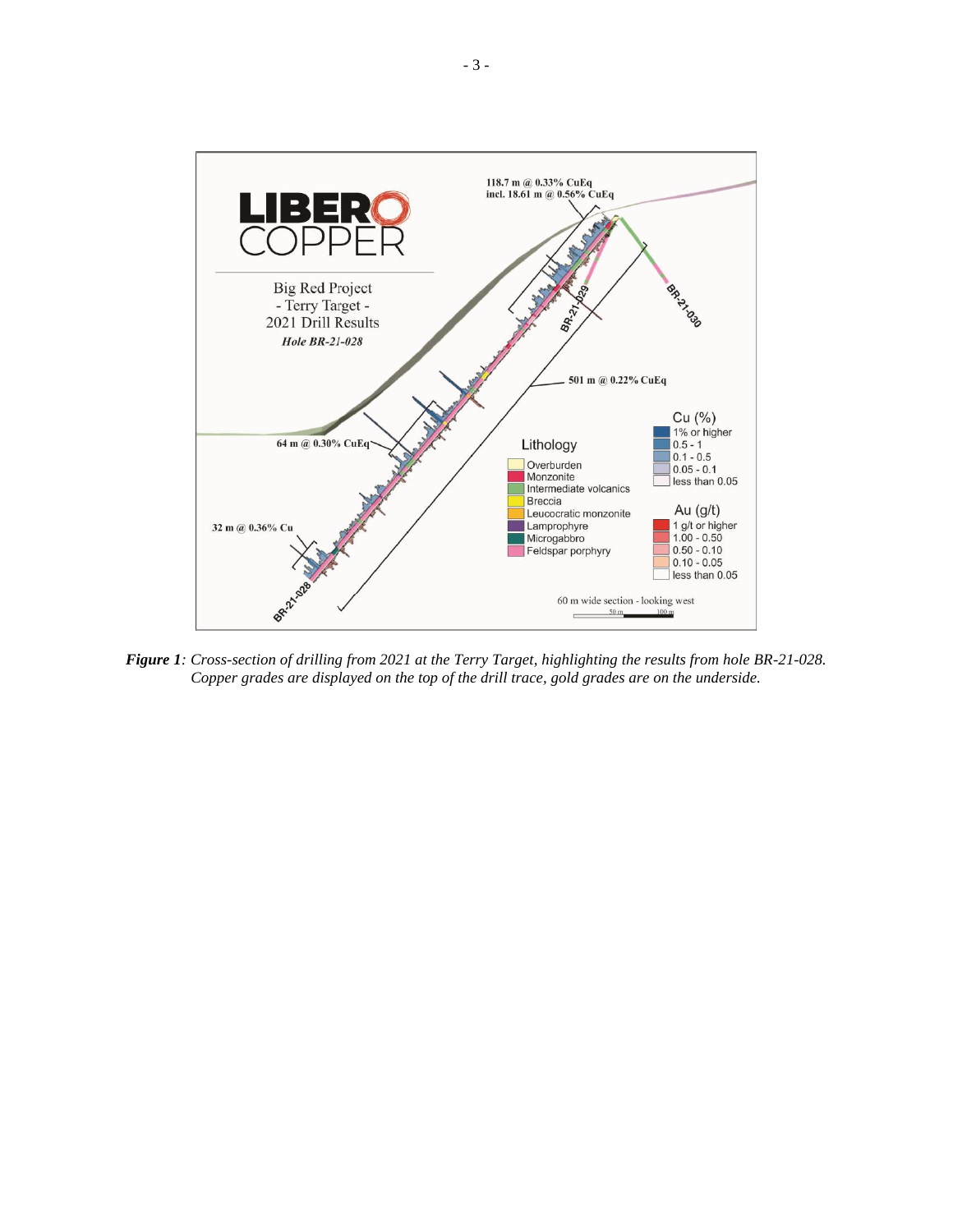

*Figure 1: Cross-section of drilling from 2021 at the Terry Target, highlighting the results from hole BR-21-028. Copper grades are displayed on the top of the drill trace, gold grades are on the underside.*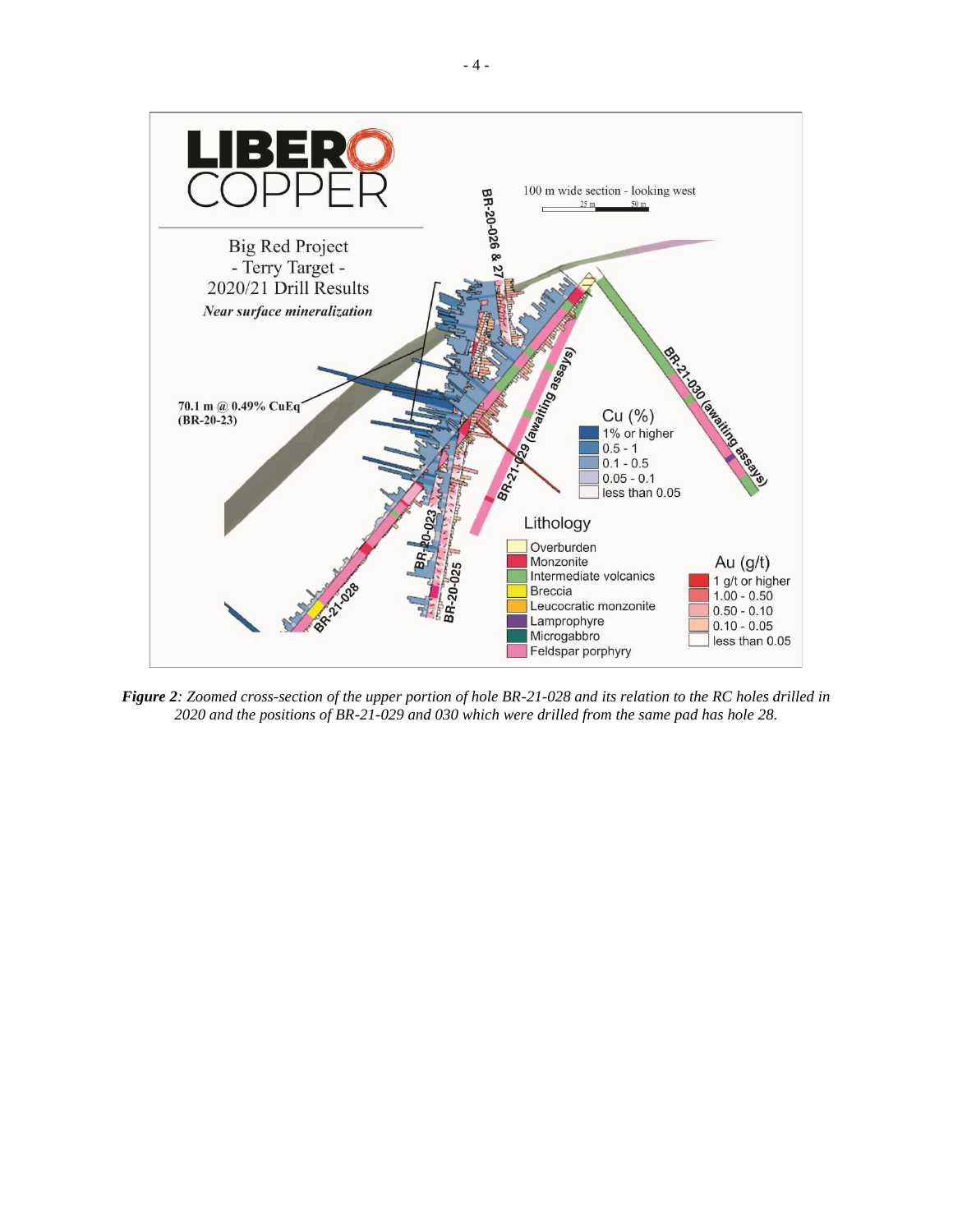

*Figure 2: Zoomed cross-section of the upper portion of hole BR-21-028 and its relation to the RC holes drilled in 2020 and the positions of BR-21-029 and 030 which were drilled from the same pad has hole 28.*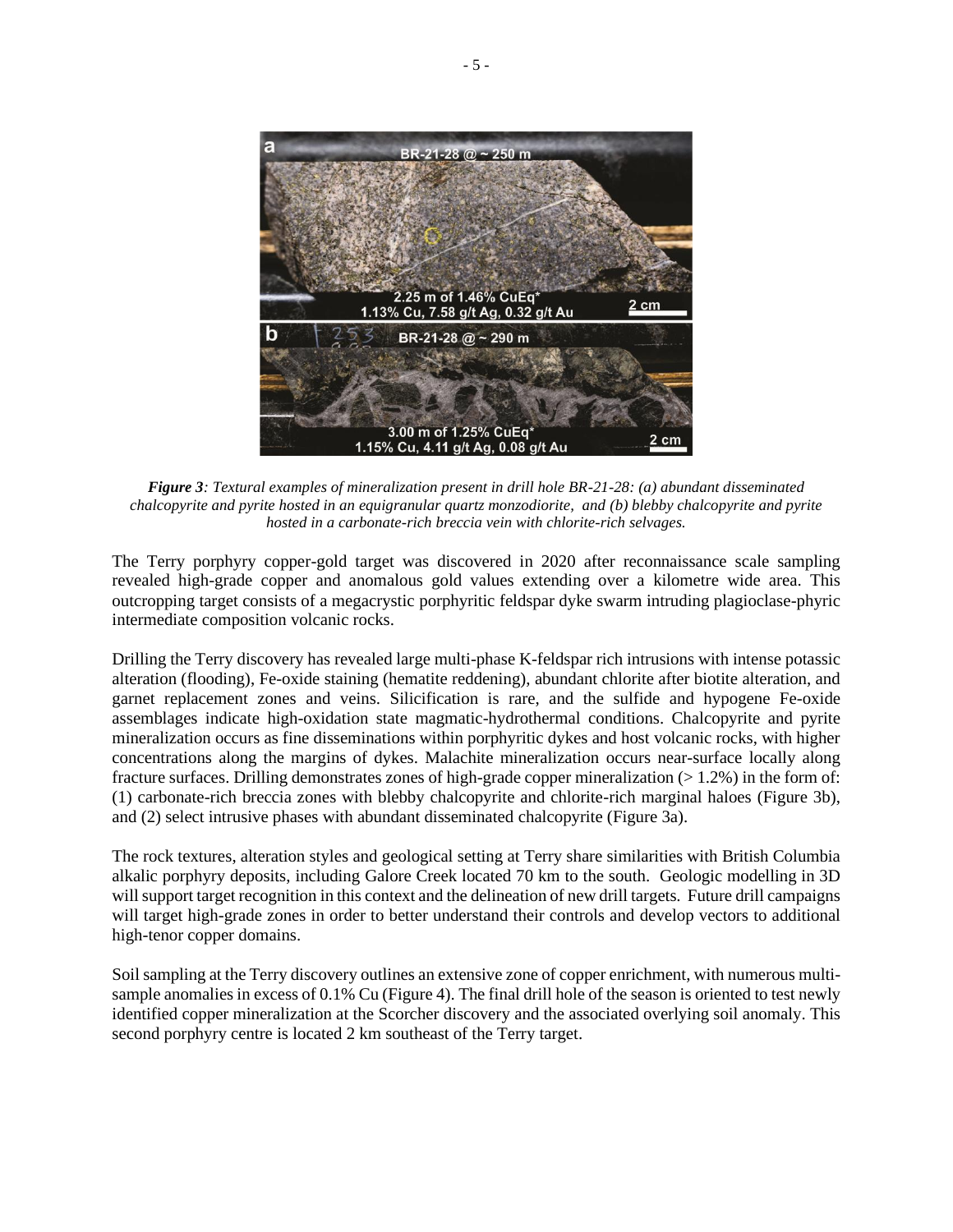

*Figure 3: Textural examples of mineralization present in drill hole BR-21-28: (a) abundant disseminated chalcopyrite and pyrite hosted in an equigranular quartz monzodiorite, and (b) blebby chalcopyrite and pyrite hosted in a carbonate-rich breccia vein with chlorite-rich selvages.*

The Terry porphyry copper-gold target was discovered in 2020 after reconnaissance scale sampling revealed high-grade copper and anomalous gold values extending over a kilometre wide area. This outcropping target consists of a megacrystic porphyritic feldspar dyke swarm intruding plagioclase-phyric intermediate composition volcanic rocks.

Drilling the Terry discovery has revealed large multi-phase K-feldspar rich intrusions with intense potassic alteration (flooding), Fe-oxide staining (hematite reddening), abundant chlorite after biotite alteration, and garnet replacement zones and veins. Silicification is rare, and the sulfide and hypogene Fe-oxide assemblages indicate high-oxidation state magmatic-hydrothermal conditions. Chalcopyrite and pyrite mineralization occurs as fine disseminations within porphyritic dykes and host volcanic rocks, with higher concentrations along the margins of dykes. Malachite mineralization occurs near-surface locally along fracture surfaces. Drilling demonstrates zones of high-grade copper mineralization (> 1.2%) in the form of: (1) carbonate-rich breccia zones with blebby chalcopyrite and chlorite-rich marginal haloes (Figure 3b), and (2) select intrusive phases with abundant disseminated chalcopyrite (Figure 3a).

The rock textures, alteration styles and geological setting at Terry share similarities with British Columbia alkalic porphyry deposits, including Galore Creek located 70 km to the south. Geologic modelling in 3D will support target recognition in this context and the delineation of new drill targets. Future drill campaigns will target high-grade zones in order to better understand their controls and develop vectors to additional high-tenor copper domains.

Soil sampling at the Terry discovery outlines an extensive zone of copper enrichment, with numerous multisample anomalies in excess of 0.1% Cu (Figure 4). The final drill hole of the season is oriented to test newly identified copper mineralization at the Scorcher discovery and the associated overlying soil anomaly. This second porphyry centre is located 2 km southeast of the Terry target.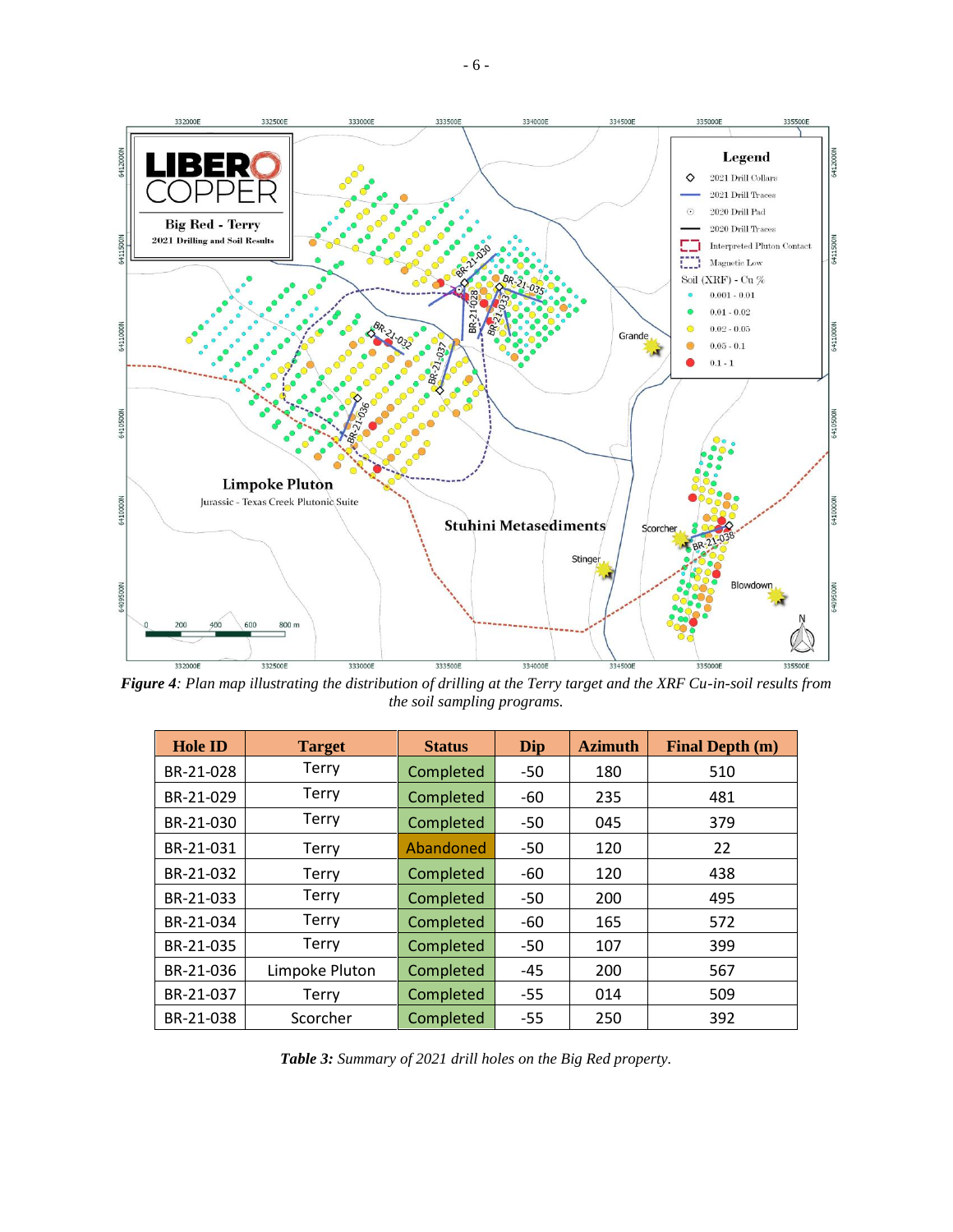

*Figure 4: Plan map illustrating the distribution of drilling at the Terry target and the XRF Cu-in-soil results from the soil sampling programs.*

| <b>Hole ID</b> | <b>Target</b>  | <b>Status</b> | Dip   | <b>Azimuth</b> | <b>Final Depth (m)</b> |
|----------------|----------------|---------------|-------|----------------|------------------------|
| BR-21-028      | <b>Terry</b>   | Completed     | $-50$ | 180            | 510                    |
| BR-21-029      | <b>Terry</b>   | Completed     | $-60$ | 235            | 481                    |
| BR-21-030      | <b>Terry</b>   | Completed     | -50   | 045            | 379                    |
| BR-21-031      | <b>Terry</b>   | Abandoned     | -50   | 120            | 22                     |
| BR-21-032      | <b>Terry</b>   | Completed     | -60   | 120            | 438                    |
| BR-21-033      | Terry          | Completed     | $-50$ | 200            | 495                    |
| BR-21-034      | Terry          | Completed     | -60   | 165            | 572                    |
| BR-21-035      | Terry          | Completed     | $-50$ | 107            | 399                    |
| BR-21-036      | Limpoke Pluton | Completed     | $-45$ | 200            | 567                    |
| BR-21-037      | <b>Terry</b>   | Completed     | $-55$ | 014            | 509                    |
| BR-21-038      | Scorcher       | Completed     | $-55$ | 250            | 392                    |

*Table 3: Summary of 2021 drill holes on the Big Red property.*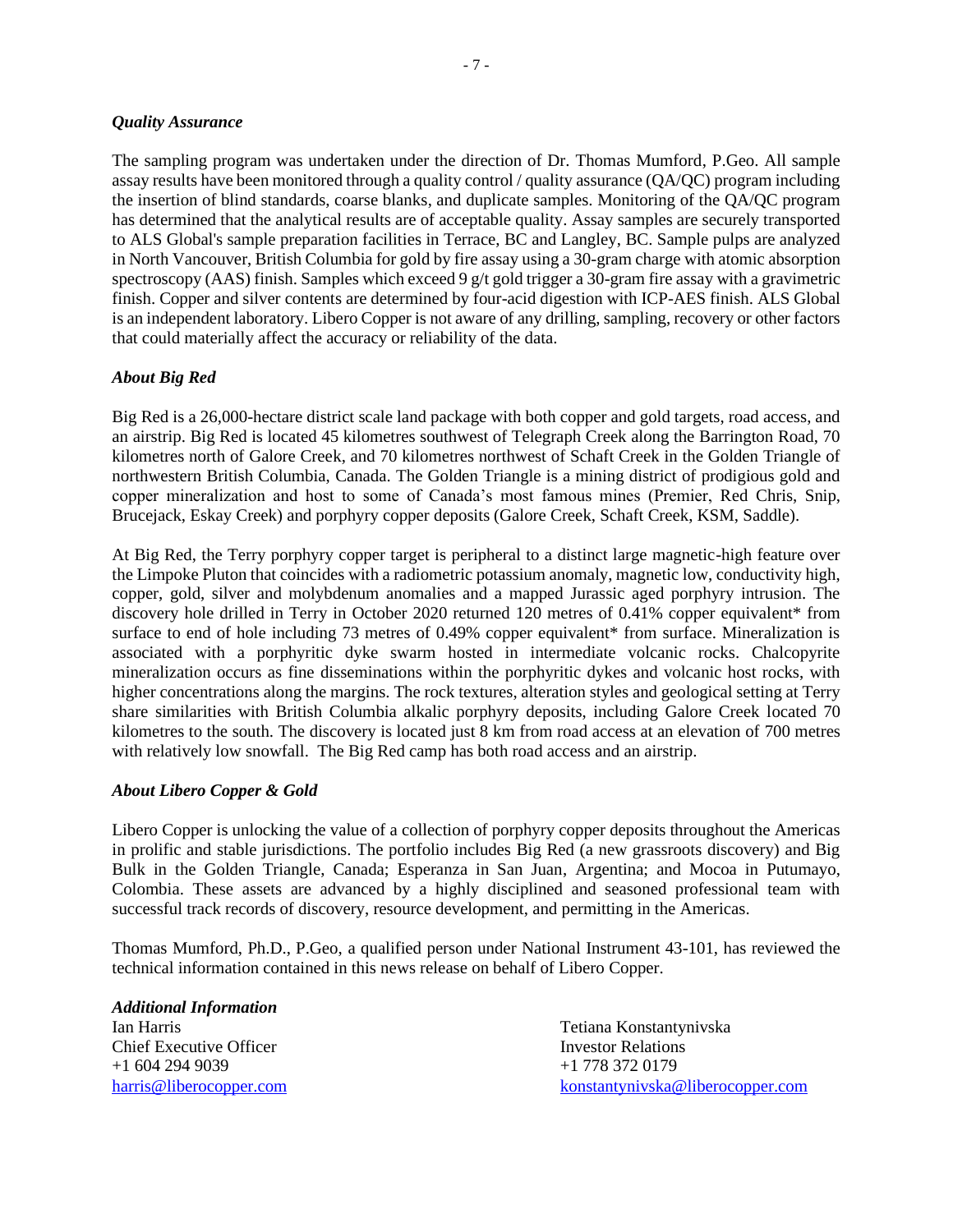#### *Quality Assurance*

The sampling program was undertaken under the direction of Dr. Thomas Mumford, P.Geo. All sample assay results have been monitored through a quality control / quality assurance (QA/QC) program including the insertion of blind standards, coarse blanks, and duplicate samples. Monitoring of the QA/QC program has determined that the analytical results are of acceptable quality. Assay samples are securely transported to ALS Global's sample preparation facilities in Terrace, BC and Langley, BC. Sample pulps are analyzed in North Vancouver, British Columbia for gold by fire assay using a 30-gram charge with atomic absorption spectroscopy (AAS) finish. Samples which exceed 9 g/t gold trigger a 30-gram fire assay with a gravimetric finish. Copper and silver contents are determined by four-acid digestion with ICP-AES finish. ALS Global is an independent laboratory. Libero Copper is not aware of any drilling, sampling, recovery or other factors that could materially affect the accuracy or reliability of the data.

## *About Big Red*

Big Red is a 26,000-hectare district scale land package with both copper and gold targets, road access, and an airstrip. Big Red is located 45 kilometres southwest of Telegraph Creek along the Barrington Road, 70 kilometres north of Galore Creek, and 70 kilometres northwest of Schaft Creek in the Golden Triangle of northwestern British Columbia, Canada. The Golden Triangle is a mining district of prodigious gold and copper mineralization and host to some of Canada's most famous mines (Premier, Red Chris, Snip, Brucejack, Eskay Creek) and porphyry copper deposits (Galore Creek, Schaft Creek, KSM, Saddle).

At Big Red, the Terry porphyry copper target is peripheral to a distinct large magnetic-high feature over the Limpoke Pluton that coincides with a radiometric potassium anomaly, magnetic low, conductivity high, copper, gold, silver and molybdenum anomalies and a mapped Jurassic aged porphyry intrusion. The discovery hole drilled in Terry in October 2020 returned 120 metres of 0.41% copper equivalent\* from surface to end of hole including 73 metres of 0.49% copper equivalent\* from surface. Mineralization is associated with a porphyritic dyke swarm hosted in intermediate volcanic rocks. Chalcopyrite mineralization occurs as fine disseminations within the porphyritic dykes and volcanic host rocks, with higher concentrations along the margins. The rock textures, alteration styles and geological setting at Terry share similarities with British Columbia alkalic porphyry deposits, including Galore Creek located 70 kilometres to the south. The discovery is located just 8 km from road access at an elevation of 700 metres with relatively low snowfall. The Big Red camp has both road access and an airstrip.

## *About Libero Copper & Gold*

Libero Copper is unlocking the value of a collection of porphyry copper deposits throughout the Americas in prolific and stable jurisdictions. The portfolio includes Big Red (a new grassroots discovery) and Big Bulk in the Golden Triangle, Canada; Esperanza in San Juan, Argentina; and Mocoa in Putumayo, Colombia. These assets are advanced by a highly disciplined and seasoned professional team with successful track records of discovery, resource development, and permitting in the Americas.

Thomas Mumford, Ph.D., P.Geo, a qualified person under National Instrument 43-101, has reviewed the technical information contained in this news release on behalf of Libero Copper.

*Additional Information* Ian Harris Tetiana Konstantynivska Chief Executive Officer **Investor Relations** Investor Relations +1 604 294 9039 +1 778 372 0179

[harris@liberocopper.com](mailto:harris@liberocopper.com) [konstantynivska@liberocopper.com](mailto:konstantynivska@liberocopper.com)